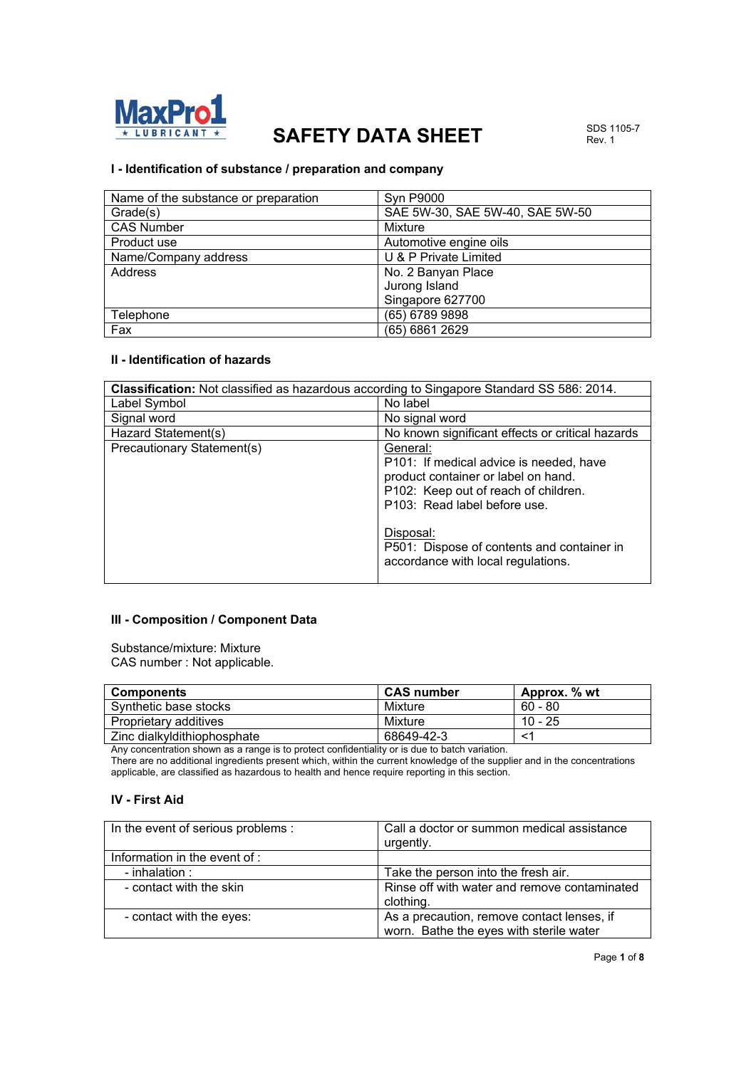

# **SAFETY DATA SHEET**

### **I - Identification of substance / preparation and company**

| Name of the substance or preparation | <b>Syn P9000</b>                |
|--------------------------------------|---------------------------------|
| Grade(s)                             | SAE 5W-30, SAE 5W-40, SAE 5W-50 |
| <b>CAS Number</b>                    | Mixture                         |
| Product use                          | Automotive engine oils          |
| Name/Company address                 | U & P Private Limited           |
| Address                              | No. 2 Banyan Place              |
|                                      | Jurong Island                   |
|                                      | Singapore 627700                |
| Telephone                            | (65) 6789 9898                  |
| Fax                                  | (65) 6861 2629                  |

### **II - Identification of hazards**

| <b>Classification:</b> Not classified as hazardous according to Singapore Standard SS 586: 2014. |                                                                                                                                                                                                                                                                     |
|--------------------------------------------------------------------------------------------------|---------------------------------------------------------------------------------------------------------------------------------------------------------------------------------------------------------------------------------------------------------------------|
| Label Symbol                                                                                     | No label                                                                                                                                                                                                                                                            |
| Signal word                                                                                      | No signal word                                                                                                                                                                                                                                                      |
| Hazard Statement(s)                                                                              | No known significant effects or critical hazards                                                                                                                                                                                                                    |
| Precautionary Statement(s)                                                                       | General:<br>P101: If medical advice is needed, have<br>product container or label on hand.<br>P102: Keep out of reach of children.<br>P103: Read label before use.<br>Disposal:<br>P501: Dispose of contents and container in<br>accordance with local regulations. |

#### **III - Composition / Component Data**

Substance/mixture: Mixture CAS number : Not applicable.

| <b>Components</b>           | <b>CAS number</b> | Approx. % wt |
|-----------------------------|-------------------|--------------|
| Synthetic base stocks       | Mixture           | $60 - 80$    |
| Proprietary additives       | Mixture           | 10 - 25      |
| Zinc dialkyldithiophosphate | 68649-42-3        |              |

Any concentration shown as a range is to protect confidentiality or is due to batch variation.

There are no additional ingredients present which, within the current knowledge of the supplier and in the concentrations applicable, are classified as hazardous to health and hence require reporting in this section.

### **IV - First Aid**

| In the event of serious problems : | Call a doctor or summon medical assistance<br>urgently.                               |
|------------------------------------|---------------------------------------------------------------------------------------|
| Information in the event of :      |                                                                                       |
| - inhalation :                     | Take the person into the fresh air.                                                   |
| - contact with the skin            | Rinse off with water and remove contaminated<br>clothing.                             |
| - contact with the eyes:           | As a precaution, remove contact lenses, if<br>worn. Bathe the eyes with sterile water |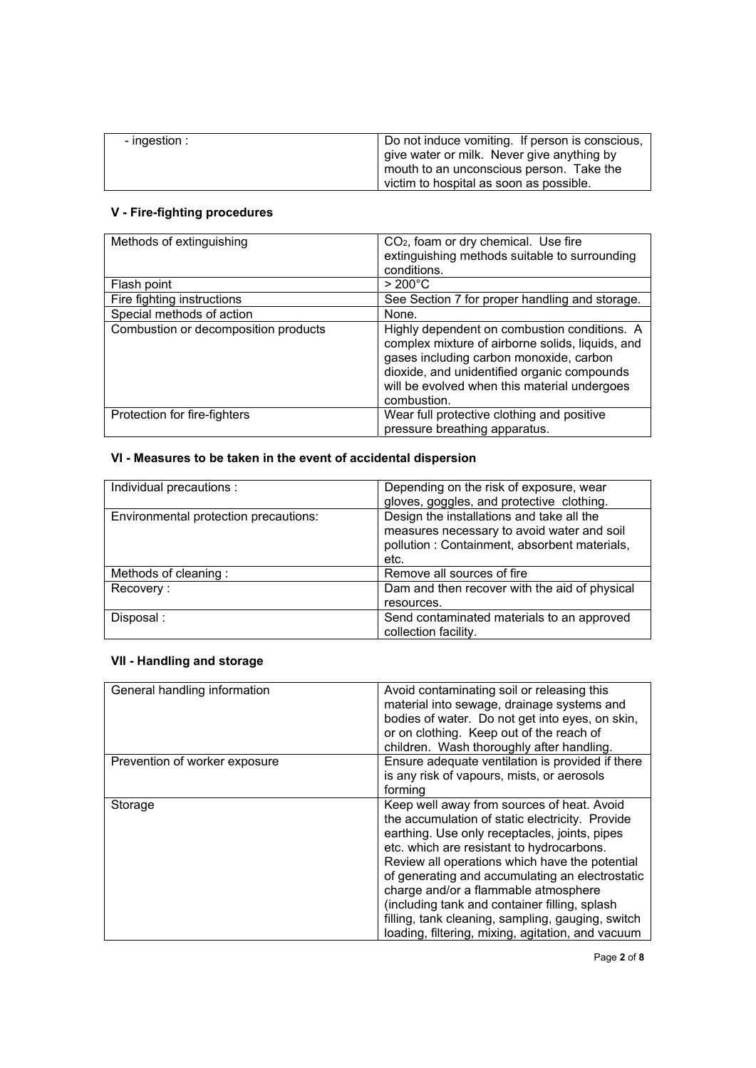| $-$ ingestion : | Do not induce vomiting. If person is conscious,<br>give water or milk. Never give anything by<br>mouth to an unconscious person. Take the<br>victim to hospital as soon as possible. |
|-----------------|--------------------------------------------------------------------------------------------------------------------------------------------------------------------------------------|
|                 |                                                                                                                                                                                      |

# **V - Fire-fighting procedures**

| Methods of extinguishing             | CO <sub>2</sub> , foam or dry chemical. Use fire                                                                                                                                                                                                          |
|--------------------------------------|-----------------------------------------------------------------------------------------------------------------------------------------------------------------------------------------------------------------------------------------------------------|
|                                      | extinguishing methods suitable to surrounding                                                                                                                                                                                                             |
|                                      | conditions.                                                                                                                                                                                                                                               |
| Flash point                          | $>200^{\circ}$ C                                                                                                                                                                                                                                          |
| Fire fighting instructions           | See Section 7 for proper handling and storage.                                                                                                                                                                                                            |
| Special methods of action            | None.                                                                                                                                                                                                                                                     |
| Combustion or decomposition products | Highly dependent on combustion conditions. A<br>complex mixture of airborne solids, liquids, and<br>gases including carbon monoxide, carbon<br>dioxide, and unidentified organic compounds<br>will be evolved when this material undergoes<br>combustion. |
| Protection for fire-fighters         | Wear full protective clothing and positive<br>pressure breathing apparatus.                                                                                                                                                                               |

# **VI - Measures to be taken in the event of accidental dispersion**

| Individual precautions :              | Depending on the risk of exposure, wear       |
|---------------------------------------|-----------------------------------------------|
|                                       | gloves, goggles, and protective clothing.     |
| Environmental protection precautions: | Design the installations and take all the     |
|                                       | measures necessary to avoid water and soil    |
|                                       | pollution: Containment, absorbent materials,  |
|                                       | etc.                                          |
| Methods of cleaning:                  | Remove all sources of fire                    |
| Recovery:                             | Dam and then recover with the aid of physical |
|                                       | resources.                                    |
| Disposal :                            | Send contaminated materials to an approved    |
|                                       | collection facility.                          |

# **VII - Handling and storage**

| General handling information  | Avoid contaminating soil or releasing this<br>material into sewage, drainage systems and<br>bodies of water. Do not get into eyes, on skin,<br>or on clothing. Keep out of the reach of<br>children. Wash thoroughly after handling.                                                                                                                                                                                                                                                                |
|-------------------------------|-----------------------------------------------------------------------------------------------------------------------------------------------------------------------------------------------------------------------------------------------------------------------------------------------------------------------------------------------------------------------------------------------------------------------------------------------------------------------------------------------------|
| Prevention of worker exposure | Ensure adequate ventilation is provided if there<br>is any risk of vapours, mists, or aerosols<br>forming                                                                                                                                                                                                                                                                                                                                                                                           |
| Storage                       | Keep well away from sources of heat. Avoid<br>the accumulation of static electricity. Provide<br>earthing. Use only receptacles, joints, pipes<br>etc. which are resistant to hydrocarbons.<br>Review all operations which have the potential<br>of generating and accumulating an electrostatic<br>charge and/or a flammable atmosphere<br>(including tank and container filling, splash<br>filling, tank cleaning, sampling, gauging, switch<br>loading, filtering, mixing, agitation, and vacuum |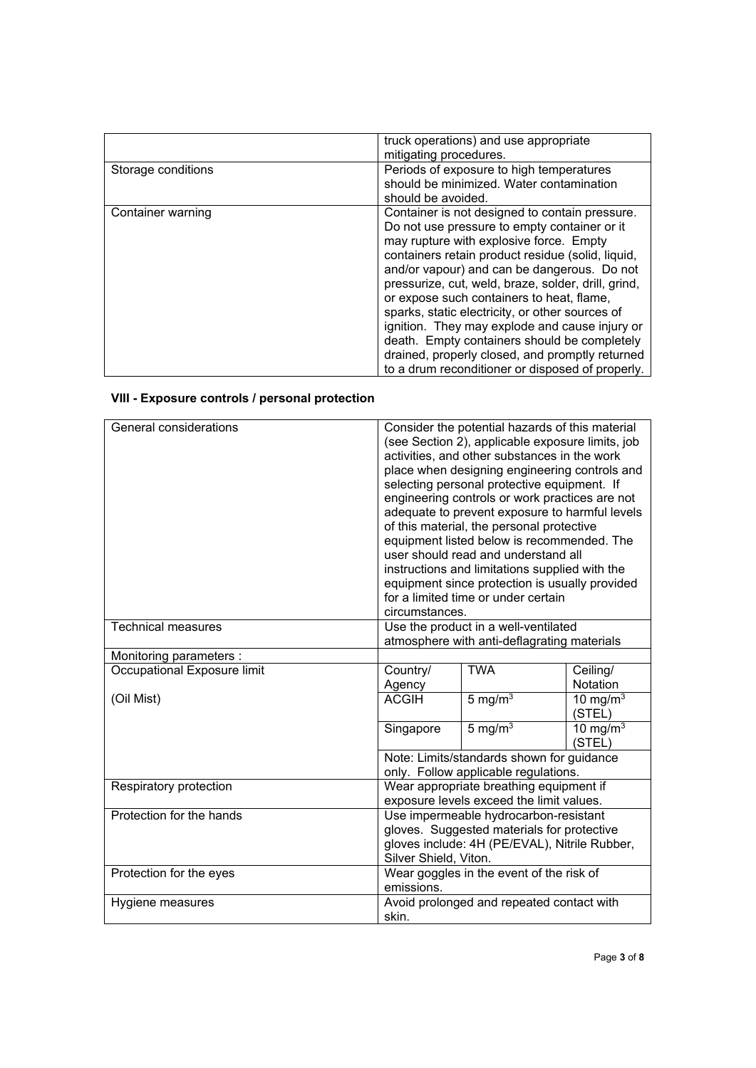| Storage conditions | truck operations) and use appropriate<br>mitigating procedures.<br>Periods of exposure to high temperatures<br>should be minimized. Water contamination<br>should be avoided.                                                                                                                                                                                                                                                                                                                                                                                                                                 |
|--------------------|---------------------------------------------------------------------------------------------------------------------------------------------------------------------------------------------------------------------------------------------------------------------------------------------------------------------------------------------------------------------------------------------------------------------------------------------------------------------------------------------------------------------------------------------------------------------------------------------------------------|
| Container warning  | Container is not designed to contain pressure.<br>Do not use pressure to empty container or it<br>may rupture with explosive force. Empty<br>containers retain product residue (solid, liquid,<br>and/or vapour) and can be dangerous. Do not<br>pressurize, cut, weld, braze, solder, drill, grind,<br>or expose such containers to heat, flame,<br>sparks, static electricity, or other sources of<br>ignition. They may explode and cause injury or<br>death. Empty containers should be completely<br>drained, properly closed, and promptly returned<br>to a drum reconditioner or disposed of properly. |

# **VIII - Exposure controls / personal protection**

| General considerations      | Consider the potential hazards of this material<br>(see Section 2), applicable exposure limits, job<br>activities, and other substances in the work<br>place when designing engineering controls and<br>selecting personal protective equipment. If<br>engineering controls or work practices are not<br>adequate to prevent exposure to harmful levels<br>of this material, the personal protective<br>equipment listed below is recommended. The<br>user should read and understand all<br>instructions and limitations supplied with the<br>equipment since protection is usually provided<br>for a limited time or under certain<br>circumstances. |                                                                                   |                                   |
|-----------------------------|--------------------------------------------------------------------------------------------------------------------------------------------------------------------------------------------------------------------------------------------------------------------------------------------------------------------------------------------------------------------------------------------------------------------------------------------------------------------------------------------------------------------------------------------------------------------------------------------------------------------------------------------------------|-----------------------------------------------------------------------------------|-----------------------------------|
| <b>Technical measures</b>   |                                                                                                                                                                                                                                                                                                                                                                                                                                                                                                                                                                                                                                                        | Use the product in a well-ventilated                                              |                                   |
|                             |                                                                                                                                                                                                                                                                                                                                                                                                                                                                                                                                                                                                                                                        | atmosphere with anti-deflagrating materials                                       |                                   |
| Monitoring parameters :     |                                                                                                                                                                                                                                                                                                                                                                                                                                                                                                                                                                                                                                                        |                                                                                   |                                   |
| Occupational Exposure limit | Country/<br>Agency                                                                                                                                                                                                                                                                                                                                                                                                                                                                                                                                                                                                                                     | <b>TWA</b>                                                                        | Ceiling/<br><b>Notation</b>       |
| (Oil Mist)                  | <b>ACGIH</b>                                                                                                                                                                                                                                                                                                                                                                                                                                                                                                                                                                                                                                           | $5 \text{ mg/m}^3$                                                                | 10 mg/m $3$<br>(STEL)             |
|                             | Singapore                                                                                                                                                                                                                                                                                                                                                                                                                                                                                                                                                                                                                                              | 5 mg/ $m3$                                                                        | 10 mg/ $\overline{m^3}$<br>(STEL) |
|                             |                                                                                                                                                                                                                                                                                                                                                                                                                                                                                                                                                                                                                                                        | Note: Limits/standards shown for guidance<br>only. Follow applicable regulations. |                                   |
| Respiratory protection      | Wear appropriate breathing equipment if<br>exposure levels exceed the limit values.                                                                                                                                                                                                                                                                                                                                                                                                                                                                                                                                                                    |                                                                                   |                                   |
| Protection for the hands    | Use impermeable hydrocarbon-resistant<br>gloves. Suggested materials for protective<br>gloves include: 4H (PE/EVAL), Nitrile Rubber,<br>Silver Shield, Viton.                                                                                                                                                                                                                                                                                                                                                                                                                                                                                          |                                                                                   |                                   |
| Protection for the eyes     | Wear goggles in the event of the risk of<br>emissions.                                                                                                                                                                                                                                                                                                                                                                                                                                                                                                                                                                                                 |                                                                                   |                                   |
| Hygiene measures            | Avoid prolonged and repeated contact with<br>skin.                                                                                                                                                                                                                                                                                                                                                                                                                                                                                                                                                                                                     |                                                                                   |                                   |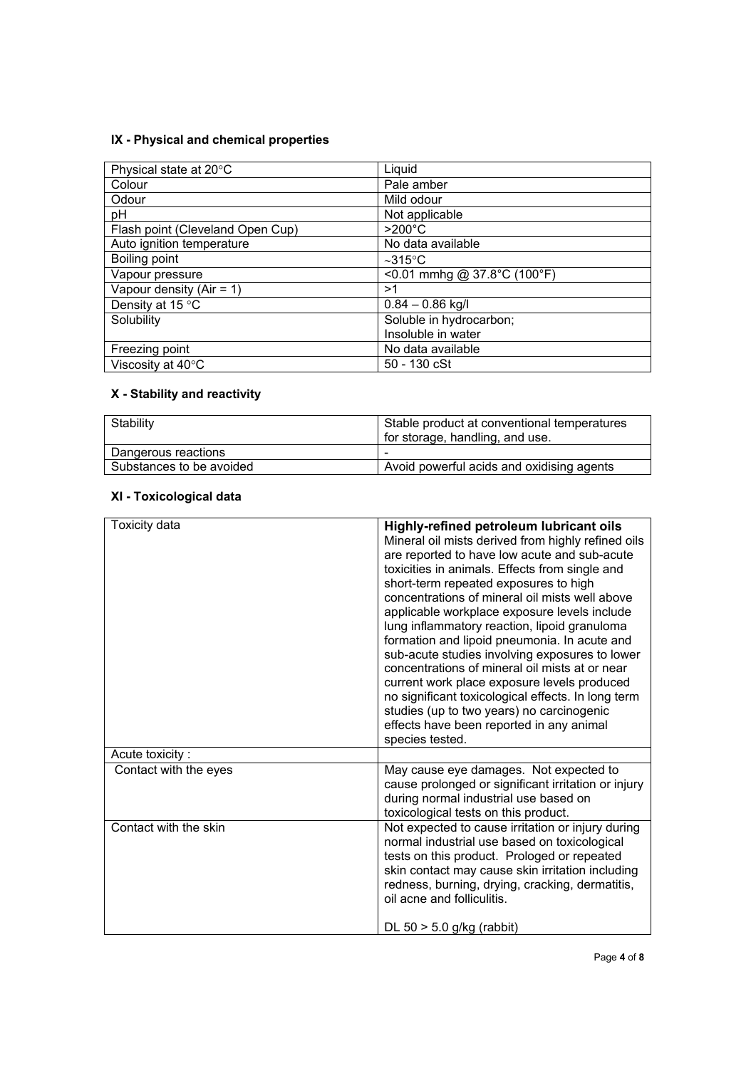# **IX - Physical and chemical properties**

| Physical state at 20°C           | Liquid                      |
|----------------------------------|-----------------------------|
| Colour                           | Pale amber                  |
| Odour                            | Mild odour                  |
| pH                               | Not applicable              |
| Flash point (Cleveland Open Cup) | $>200^{\circ}$ C            |
| Auto ignition temperature        | No data available           |
| Boiling point                    | $\sim$ 315°C                |
| Vapour pressure                  | <0.01 mmhg @ 37.8°C (100°F) |
| Vapour density (Air = $1$ )      | >1                          |
| Density at 15 °C                 | $0.84 - 0.86$ kg/l          |
| Solubility                       | Soluble in hydrocarbon;     |
|                                  | Insoluble in water          |
| Freezing point                   | No data available           |
| Viscosity at 40°C                | 50 - 130 cSt                |

# **X - Stability and reactivity**

| Stability                | Stable product at conventional temperatures<br>for storage, handling, and use. |
|--------------------------|--------------------------------------------------------------------------------|
| Dangerous reactions      | -                                                                              |
| Substances to be avoided | Avoid powerful acids and oxidising agents                                      |

# **XI - Toxicological data**

| Toxicity data         | Highly-refined petroleum lubricant oils<br>Mineral oil mists derived from highly refined oils<br>are reported to have low acute and sub-acute<br>toxicities in animals. Effects from single and<br>short-term repeated exposures to high<br>concentrations of mineral oil mists well above<br>applicable workplace exposure levels include<br>lung inflammatory reaction, lipoid granuloma<br>formation and lipoid pneumonia. In acute and<br>sub-acute studies involving exposures to lower<br>concentrations of mineral oil mists at or near<br>current work place exposure levels produced<br>no significant toxicological effects. In long term<br>studies (up to two years) no carcinogenic<br>effects have been reported in any animal<br>species tested. |
|-----------------------|-----------------------------------------------------------------------------------------------------------------------------------------------------------------------------------------------------------------------------------------------------------------------------------------------------------------------------------------------------------------------------------------------------------------------------------------------------------------------------------------------------------------------------------------------------------------------------------------------------------------------------------------------------------------------------------------------------------------------------------------------------------------|
| Acute toxicity:       |                                                                                                                                                                                                                                                                                                                                                                                                                                                                                                                                                                                                                                                                                                                                                                 |
| Contact with the eyes | May cause eye damages. Not expected to<br>cause prolonged or significant irritation or injury<br>during normal industrial use based on<br>toxicological tests on this product.                                                                                                                                                                                                                                                                                                                                                                                                                                                                                                                                                                                  |
| Contact with the skin | Not expected to cause irritation or injury during<br>normal industrial use based on toxicological<br>tests on this product. Prologed or repeated<br>skin contact may cause skin irritation including<br>redness, burning, drying, cracking, dermatitis,<br>oil acne and folliculitis.<br>DL $50 > 5.0$ g/kg (rabbit)                                                                                                                                                                                                                                                                                                                                                                                                                                            |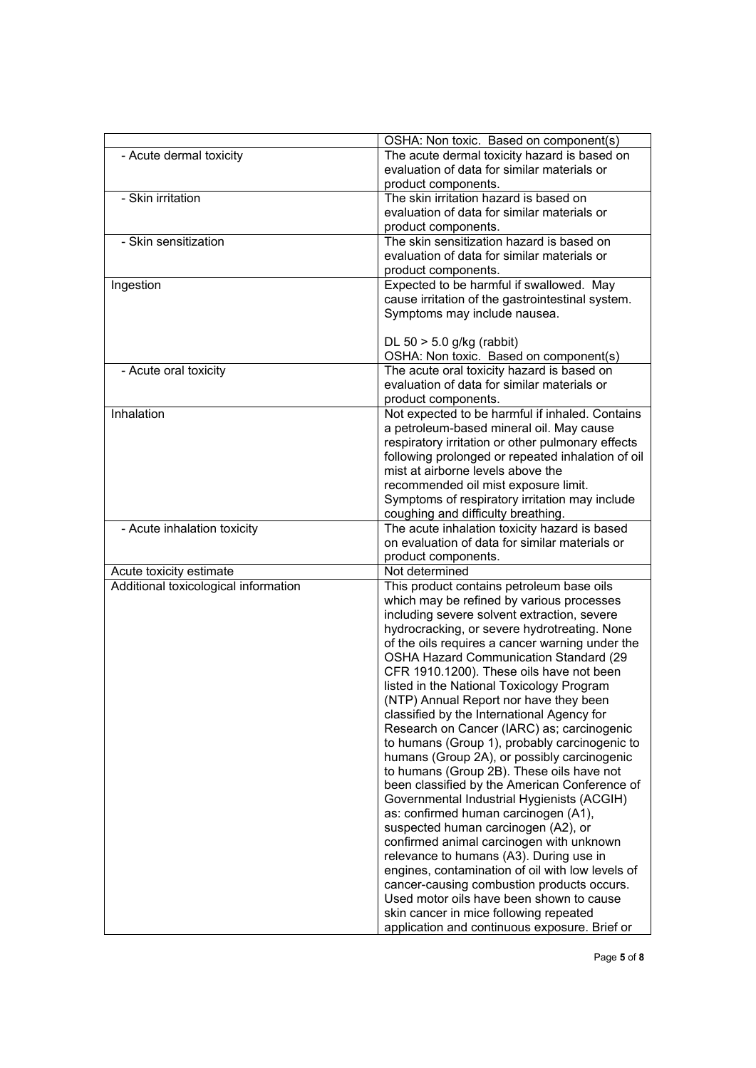|                                      | OSHA: Non toxic. Based on component(s)                           |
|--------------------------------------|------------------------------------------------------------------|
| - Acute dermal toxicity              | The acute dermal toxicity hazard is based on                     |
|                                      | evaluation of data for similar materials or                      |
| - Skin irritation                    | product components.<br>The skin irritation hazard is based on    |
|                                      |                                                                  |
|                                      | evaluation of data for similar materials or                      |
| - Skin sensitization                 | product components.<br>The skin sensitization hazard is based on |
|                                      | evaluation of data for similar materials or                      |
|                                      | product components.                                              |
| Ingestion                            | Expected to be harmful if swallowed. May                         |
|                                      | cause irritation of the gastrointestinal system.                 |
|                                      | Symptoms may include nausea.                                     |
|                                      |                                                                  |
|                                      | DL $50 > 5.0$ g/kg (rabbit)                                      |
|                                      | OSHA: Non toxic. Based on component(s)                           |
| - Acute oral toxicity                | The acute oral toxicity hazard is based on                       |
|                                      | evaluation of data for similar materials or                      |
|                                      | product components.                                              |
| Inhalation                           | Not expected to be harmful if inhaled. Contains                  |
|                                      | a petroleum-based mineral oil. May cause                         |
|                                      | respiratory irritation or other pulmonary effects                |
|                                      | following prolonged or repeated inhalation of oil                |
|                                      | mist at airborne levels above the                                |
|                                      | recommended oil mist exposure limit.                             |
|                                      | Symptoms of respiratory irritation may include                   |
|                                      | coughing and difficulty breathing.                               |
| - Acute inhalation toxicity          | The acute inhalation toxicity hazard is based                    |
|                                      | on evaluation of data for similar materials or                   |
|                                      | product components.                                              |
| Acute toxicity estimate              | Not determined                                                   |
| Additional toxicological information | This product contains petroleum base oils                        |
|                                      | which may be refined by various processes                        |
|                                      | including severe solvent extraction, severe                      |
|                                      | hydrocracking, or severe hydrotreating. None                     |
|                                      | of the oils requires a cancer warning under the                  |
|                                      | <b>OSHA Hazard Communication Standard (29</b>                    |
|                                      | CFR 1910.1200). These oils have not been                         |
|                                      | listed in the National Toxicology Program                        |
|                                      | (NTP) Annual Report nor have they been                           |
|                                      | classified by the International Agency for                       |
|                                      | Research on Cancer (IARC) as; carcinogenic                       |
|                                      | to humans (Group 1), probably carcinogenic to                    |
|                                      | humans (Group 2A), or possibly carcinogenic                      |
|                                      | to humans (Group 2B). These oils have not                        |
|                                      | been classified by the American Conference of                    |
|                                      | Governmental Industrial Hygienists (ACGIH)                       |
|                                      | as: confirmed human carcinogen (A1),                             |
|                                      | suspected human carcinogen (A2), or                              |
|                                      | confirmed animal carcinogen with unknown                         |
|                                      | relevance to humans (A3). During use in                          |
|                                      | engines, contamination of oil with low levels of                 |
|                                      | cancer-causing combustion products occurs.                       |
|                                      | Used motor oils have been shown to cause                         |
|                                      | skin cancer in mice following repeated                           |
|                                      | application and continuous exposure. Brief or                    |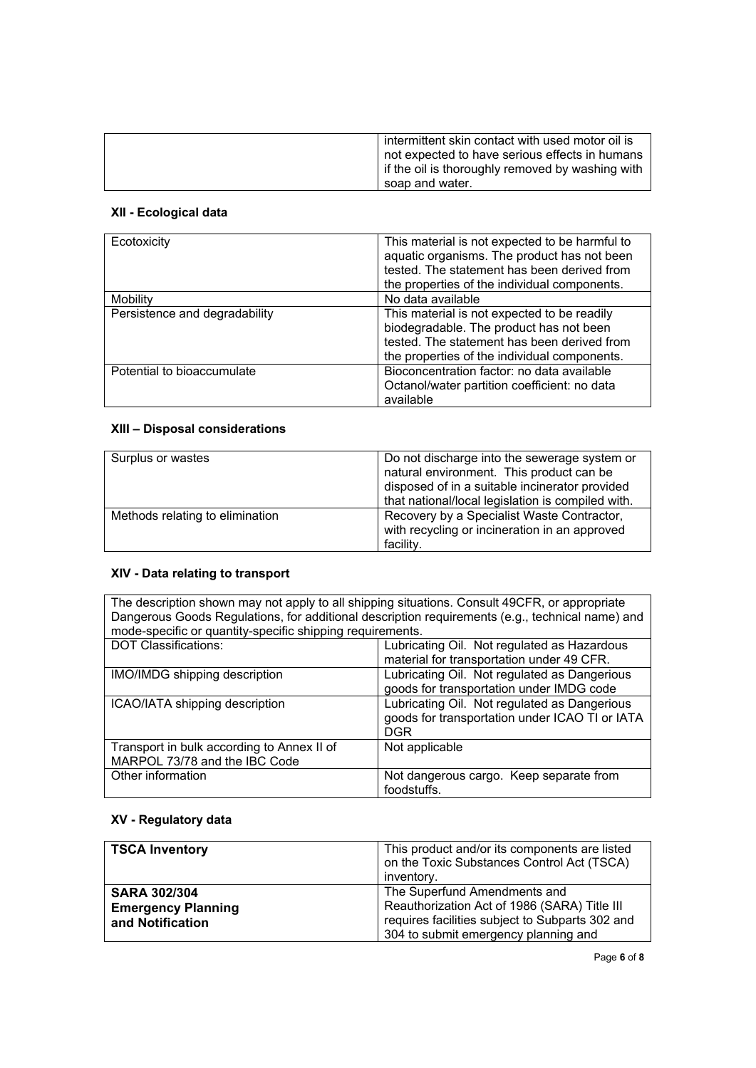| intermittent skin contact with used motor oil is<br>not expected to have serious effects in humans<br>  if the oil is thoroughly removed by washing with<br>soap and water. |
|-----------------------------------------------------------------------------------------------------------------------------------------------------------------------------|
|                                                                                                                                                                             |

### **XII - Ecological data**

| Ecotoxicity                   | This material is not expected to be harmful to |
|-------------------------------|------------------------------------------------|
|                               | aquatic organisms. The product has not been    |
|                               | tested. The statement has been derived from    |
|                               | the properties of the individual components.   |
|                               |                                                |
| Mobility                      | No data available                              |
| Persistence and degradability | This material is not expected to be readily    |
|                               | biodegradable. The product has not been        |
|                               | tested. The statement has been derived from    |
|                               | the properties of the individual components.   |
| Potential to bioaccumulate    | Bioconcentration factor: no data available     |
|                               | Octanol/water partition coefficient: no data   |
|                               | available                                      |

## **XIII – Disposal considerations**

| Surplus or wastes               | Do not discharge into the sewerage system or<br>natural environment. This product can be<br>disposed of in a suitable incinerator provided<br>that national/local legislation is compiled with. |
|---------------------------------|-------------------------------------------------------------------------------------------------------------------------------------------------------------------------------------------------|
| Methods relating to elimination | Recovery by a Specialist Waste Contractor,<br>with recycling or incineration in an approved<br>facility.                                                                                        |

## **XIV - Data relating to transport**

The description shown may not apply to all shipping situations. Consult 49CFR, or appropriate Dangerous Goods Regulations, for additional description requirements (e.g., technical name) and mode-specific or quantity-specific shipping requirements.<br>DOT Classifications: | Lubrica Lubricating Oil. Not regulated as Hazardous material for transportation under 49 CFR. IMO/IMDG shipping description Lubricating Oil. Not regulated as Dangerious goods for transportation under IMDG code ICAO/IATA shipping description Lubricating Oil. Not regulated as Dangerious goods for transportation under ICAO TI or IATA **DGR** Transport in bulk according to Annex II of MARPOL 73/78 and the IBC Code Not applicable Other information Not dangerous cargo. Keep separate from foodstuffs.

#### **XV - Regulatory data**

| <b>TSCA Inventory</b>                                                | This product and/or its components are listed<br>on the Toxic Substances Control Act (TSCA)<br>inventory.                                                               |
|----------------------------------------------------------------------|-------------------------------------------------------------------------------------------------------------------------------------------------------------------------|
| <b>SARA 302/304</b><br><b>Emergency Planning</b><br>and Notification | The Superfund Amendments and<br>Reauthorization Act of 1986 (SARA) Title III<br>requires facilities subject to Subparts 302 and<br>304 to submit emergency planning and |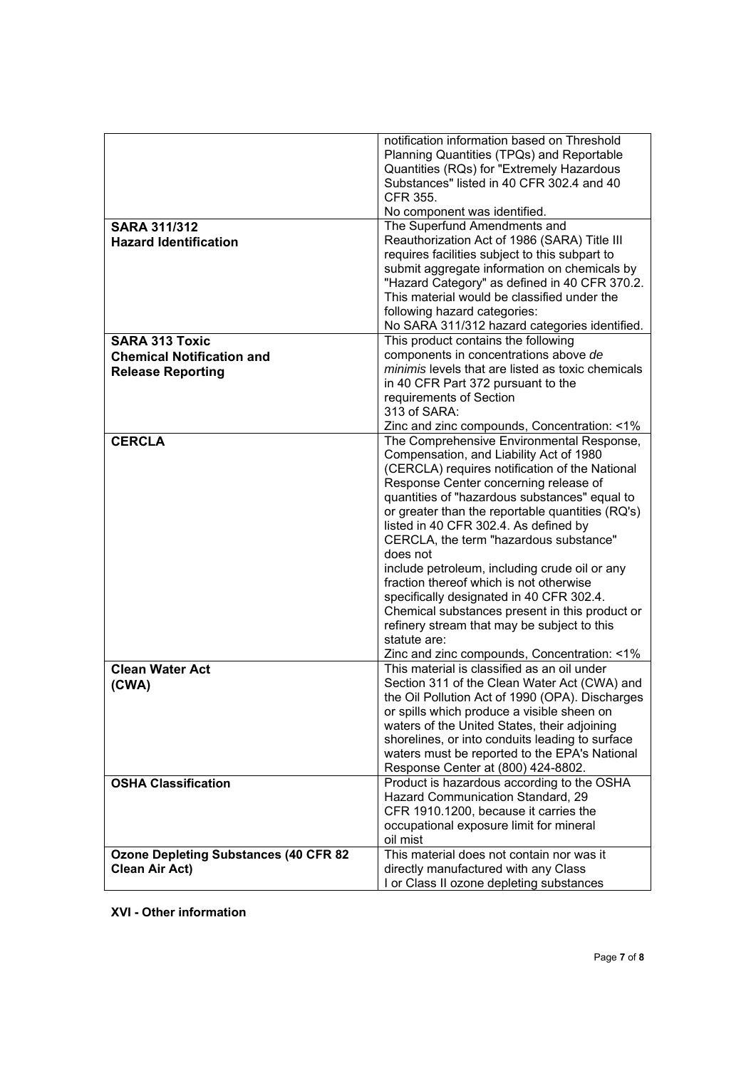|                                                              | notification information based on Threshold<br>Planning Quantities (TPQs) and Reportable<br>Quantities (RQs) for "Extremely Hazardous<br>Substances" listed in 40 CFR 302.4 and 40<br>CFR 355.<br>No component was identified.                                                                                                                                                                                                                                                                                                                                                                                                                                                              |
|--------------------------------------------------------------|---------------------------------------------------------------------------------------------------------------------------------------------------------------------------------------------------------------------------------------------------------------------------------------------------------------------------------------------------------------------------------------------------------------------------------------------------------------------------------------------------------------------------------------------------------------------------------------------------------------------------------------------------------------------------------------------|
|                                                              |                                                                                                                                                                                                                                                                                                                                                                                                                                                                                                                                                                                                                                                                                             |
| <b>SARA 311/312</b><br><b>Hazard Identification</b>          | The Superfund Amendments and<br>Reauthorization Act of 1986 (SARA) Title III<br>requires facilities subject to this subpart to<br>submit aggregate information on chemicals by<br>"Hazard Category" as defined in 40 CFR 370.2.<br>This material would be classified under the<br>following hazard categories:<br>No SARA 311/312 hazard categories identified.                                                                                                                                                                                                                                                                                                                             |
| <b>SARA 313 Toxic</b>                                        | This product contains the following                                                                                                                                                                                                                                                                                                                                                                                                                                                                                                                                                                                                                                                         |
| <b>Chemical Notification and</b><br><b>Release Reporting</b> | components in concentrations above de<br>minimis levels that are listed as toxic chemicals<br>in 40 CFR Part 372 pursuant to the<br>requirements of Section<br>313 of SARA:                                                                                                                                                                                                                                                                                                                                                                                                                                                                                                                 |
|                                                              | Zinc and zinc compounds, Concentration: <1%                                                                                                                                                                                                                                                                                                                                                                                                                                                                                                                                                                                                                                                 |
| <b>CERCLA</b>                                                | The Comprehensive Environmental Response,<br>Compensation, and Liability Act of 1980<br>(CERCLA) requires notification of the National<br>Response Center concerning release of<br>quantities of "hazardous substances" equal to<br>or greater than the reportable quantities (RQ's)<br>listed in 40 CFR 302.4. As defined by<br>CERCLA, the term "hazardous substance"<br>does not<br>include petroleum, including crude oil or any<br>fraction thereof which is not otherwise<br>specifically designated in 40 CFR 302.4.<br>Chemical substances present in this product or<br>refinery stream that may be subject to this<br>statute are:<br>Zinc and zinc compounds, Concentration: <1% |
| <b>Clean Water Act</b><br>(CWA)                              | This material is classified as an oil under<br>Section 311 of the Clean Water Act (CWA) and<br>the Oil Pollution Act of 1990 (OPA). Discharges<br>or spills which produce a visible sheen on<br>waters of the United States, their adjoining<br>shorelines, or into conduits leading to surface<br>waters must be reported to the EPA's National                                                                                                                                                                                                                                                                                                                                            |
|                                                              | Response Center at (800) 424-8802.                                                                                                                                                                                                                                                                                                                                                                                                                                                                                                                                                                                                                                                          |
| <b>OSHA Classification</b>                                   | Product is hazardous according to the OSHA<br>Hazard Communication Standard, 29<br>CFR 1910.1200, because it carries the<br>occupational exposure limit for mineral<br>oil mist                                                                                                                                                                                                                                                                                                                                                                                                                                                                                                             |
| <b>Ozone Depleting Substances (40 CFR 82</b>                 | This material does not contain nor was it                                                                                                                                                                                                                                                                                                                                                                                                                                                                                                                                                                                                                                                   |
| <b>Clean Air Act)</b>                                        | directly manufactured with any Class<br>I or Class II ozone depleting substances                                                                                                                                                                                                                                                                                                                                                                                                                                                                                                                                                                                                            |

**XVI - Other information**